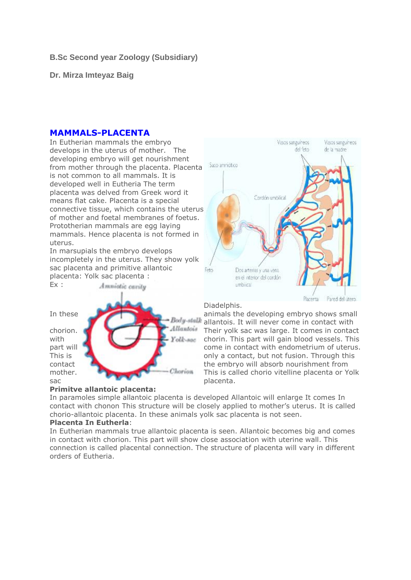**B.Sc Second year Zoology (Subsidiary)**

**Dr. Mirza Imteyaz Baig**

# **MAMMALS-PLACENTA**

In Eutherian mammals the embryo develops in the uterus of mother. The developing embryo will get nourishment from mother through the placenta. Placenta is not common to all mammals. It is developed well in Eutheria The term placenta was delved from Greek word it means flat cake. Placenta is a special connective tissue, which contains the uterus of mother and foetal membranes of foetus. Prototherian mammals are egg laying mammals. Hence placenta is not formed in uterus.

In marsupials the embryo develops incompletely in the uterus. They show yolk sac placenta and primitive allantoic placenta: Yolk sac placenta :

Ex : Amniotic cavity contact the embryo will absorb nourishment from<br>
Charlotte This is called chorio vitelline placenta or Y sac placenta.

## **Primitve allantoic placenta:**

Vasos sanguíneos Vasos sanguineos del fato de la madre Saco ampiótico Cordón umbilical Feto Dos arterias y una vena en el interior del cordón umbiical Placenta Pared del útero.

### Diadelphis.

Inthese animals the developing embryo shows small<br> $Body-stall$  allantois. It will never come in contact with allantois. It will never come in contact with chorion. with  $\mathbf{R}$   $\rightarrow$   $\mathbf{R}$   $\rightarrow$   $\mathbf{r}$   $\rightarrow$   $\mathbf{r}$   $\rightarrow$   $\mathbf{r}$   $\rightarrow$   $\mathbf{r}$   $\rightarrow$   $\mathbf{r}$   $\rightarrow$   $\mathbf{r}$   $\rightarrow$   $\mathbf{r}$   $\rightarrow$   $\mathbf{r}$   $\rightarrow$   $\mathbf{r}$   $\rightarrow$   $\mathbf{r}$   $\rightarrow$   $\mathbf{r}$   $\rightarrow$   $\mathbf{r}$   $\rightarrow$   $\mathbf{r}$   $\rightarrow$   $\mathbf{r$ part will come in contact with endometrium of uterus. This is **the contact** only a contact, but not fusion. Through this mother. This is called chorio vitelline placenta or Yolk

In paramoles simple allantoic placenta is developed Allantoic will enlarge It comes In contact with chonon This structure will be closely applied to mother's uterus. It is called chorio-allantoic placenta. In these animals yolk sac placenta is not seen. **Placenta In Eutherla**:

In Eutherian mammals true allantoic placenta is seen. Allantoic becomes big and comes in contact with chorion. This part will show close association with uterine wall. This connection is called placental connection. The structure of placenta will vary in different orders of Eutheria.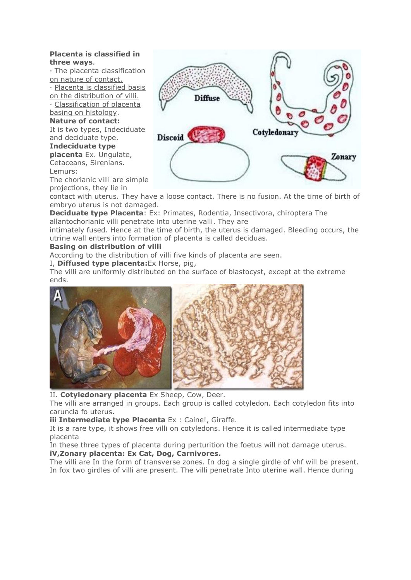### **Placenta is classified in three ways**.

· The placenta classification on nature of contact. · Placenta is classified basis

on the distribution of villi. · Classification of placenta basing on histology.

# **Nature of contact:**

It is two types, Indeciduate and deciduate type.

**Indeciduate type placenta** Ex. Ungulate, Cetaceans, Sirenians. Lemurs:

The chorianic villi are simple projections, they lie in



contact with uterus. They have a loose contact. There is no fusion. At the time of birth of embryo uterus is not damaged.

**Deciduate type Placenta**: Ex: Primates, Rodentia, Insectivora, chiroptera The allantochorianic villi penetrate into uterine valli. They are

intimately fused. Hence at the time of birth, the uterus is damaged. Bleeding occurs, the utrine wall enters into formation of placenta is called deciduas.

## **Basing on distribution of villi**

According to the distribution of villi five kinds of placenta are seen.

I, **Diffused type placenta:**Ex Horse, pig,

The villi are uniformly distributed on the surface of blastocyst, except at the extreme ends.



II. **Cotyledonary placenta** Ex Sheep, Cow, Deer.

The villi are arranged in groups. Each group is called cotyledon. Each cotyledon fits into caruncla fo uterus.

**iii Intermediate type Placenta** Ex : Caine!, Giraffe.

It is a rare type, it shows free villi on cotyledons. Hence it is called intermediate type placenta

In these three types of placenta during perturition the foetus will not damage uterus. **iV,Zonary placenta: Ex Cat, Dog, Carnivores.**

The villi are In the form of transverse zones. In dog a single girdle of vhf will be present. In fox two girdles of villi are present. The villi penetrate Into uterine wall. Hence during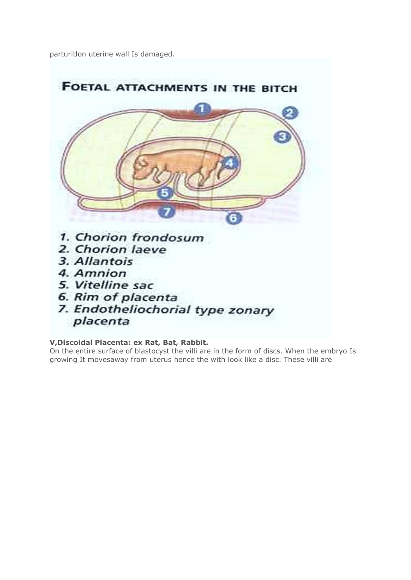parturitlon uterine wall Is damaged.



# **V,Discoidal Placenta: ex Rat, Bat, Rabbit.**

On the entire surface of blastocyst the villi are in the form of discs. When the embryo Is growing It movesaway from uterus hence the with look like a disc. These villi are